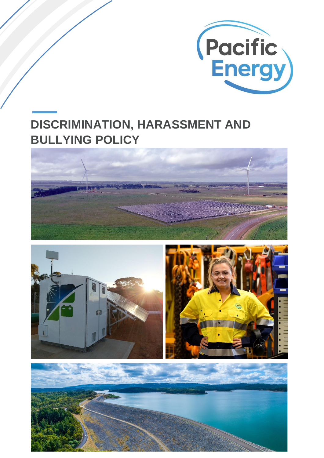

# **DISCRIMINATION, HARASSMENT AND BULLYING POLICY**





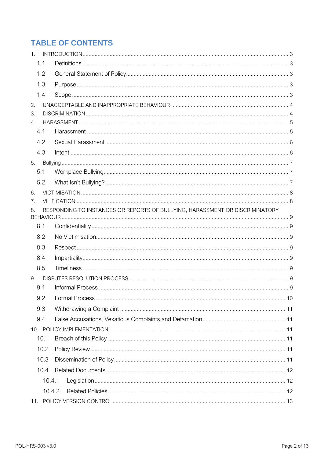## **TABLE OF CONTENTS**

| 1 <sup>1</sup>                                                                     |  |  |  |  |  |
|------------------------------------------------------------------------------------|--|--|--|--|--|
| 1.1                                                                                |  |  |  |  |  |
| 1.2                                                                                |  |  |  |  |  |
| 1.3                                                                                |  |  |  |  |  |
| 1.4                                                                                |  |  |  |  |  |
| 2.                                                                                 |  |  |  |  |  |
| 3.                                                                                 |  |  |  |  |  |
| $4_{\cdot}$                                                                        |  |  |  |  |  |
| 4.1                                                                                |  |  |  |  |  |
| 4.2                                                                                |  |  |  |  |  |
| 4.3                                                                                |  |  |  |  |  |
| 5.                                                                                 |  |  |  |  |  |
| 5.1                                                                                |  |  |  |  |  |
| 5.2                                                                                |  |  |  |  |  |
| 6.                                                                                 |  |  |  |  |  |
| 7.                                                                                 |  |  |  |  |  |
| RESPONDING TO INSTANCES OR REPORTS OF BULLYING, HARASSMENT OR DISCRIMINATORY<br>8. |  |  |  |  |  |
| 8.1                                                                                |  |  |  |  |  |
| 8.2                                                                                |  |  |  |  |  |
| 8.3                                                                                |  |  |  |  |  |
| 8.4                                                                                |  |  |  |  |  |
| 8.5                                                                                |  |  |  |  |  |
| 9.                                                                                 |  |  |  |  |  |
| 9.1                                                                                |  |  |  |  |  |
| 9.2                                                                                |  |  |  |  |  |
| 9.3                                                                                |  |  |  |  |  |
| 9.4                                                                                |  |  |  |  |  |
|                                                                                    |  |  |  |  |  |
| 10.1                                                                               |  |  |  |  |  |
| 10.2                                                                               |  |  |  |  |  |
| 10.3                                                                               |  |  |  |  |  |
| 10.4                                                                               |  |  |  |  |  |
| 10.4.1                                                                             |  |  |  |  |  |
| 10.4.2                                                                             |  |  |  |  |  |
| 11.                                                                                |  |  |  |  |  |
|                                                                                    |  |  |  |  |  |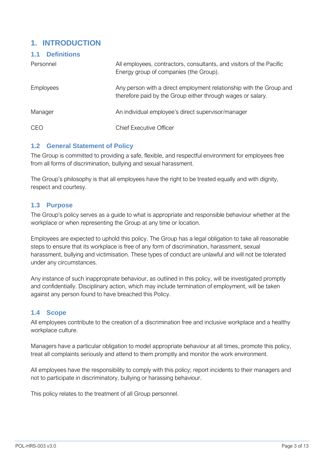## <span id="page-2-0"></span>**1. INTRODUCTION**

<span id="page-2-1"></span>

| <b>Definitions</b><br>1.1 |                                                                                                                                    |  |
|---------------------------|------------------------------------------------------------------------------------------------------------------------------------|--|
| Personnel                 | All employees, contractors, consultants, and visitors of the Pacific<br>Energy group of companies (the Group).                     |  |
| <b>Employees</b>          | Any person with a direct employment relationship with the Group and<br>therefore paid by the Group either through wages or salary. |  |
| Manager                   | An individual employee's direct supervisor/manager                                                                                 |  |
| <b>CEO</b>                | <b>Chief Executive Officer</b>                                                                                                     |  |

#### <span id="page-2-2"></span>**1.2 General Statement of Policy**

The Group is committed to providing a safe, flexible, and respectful environment for employees free from all forms of discrimination, bullying and sexual harassment.

The Group's philosophy is that all employees have the right to be treated equally and with dignity, respect and courtesy.

#### <span id="page-2-3"></span>**1.3 Purpose**

The Group's policy serves as a guide to what is appropriate and responsible behaviour whether at the workplace or when representing the Group at any time or location.

Employees are expected to uphold this policy. The Group has a legal obligation to take all reasonable steps to ensure that its workplace is free of any form of discrimination, harassment, sexual harassment, bullying and victimisation. These types of conduct are unlawful and will not be tolerated under any circumstances.

Any instance of such inappropriate behaviour, as outlined in this policy, will be investigated promptly and confidentially. Disciplinary action, which may include termination of employment, will be taken against any person found to have breached this Policy.

#### <span id="page-2-4"></span>**1.4 Scope**

All employees contribute to the creation of a discrimination free and inclusive workplace and a healthy workplace culture.

Managers have a particular obligation to model appropriate behaviour at all times, promote this policy, treat all complaints seriously and attend to them promptly and monitor the work environment.

All employees have the responsibility to comply with this policy; report incidents to their managers and not to participate in discriminatory, bullying or harassing behaviour.

This policy relates to the treatment of all Group personnel.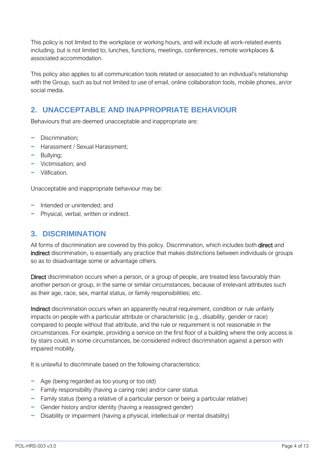This policy is not limited to the workplace or working hours, and will include all work-related events including, but is not limited to; lunches, functions, meetings, conferences, remote workplaces & associated accommodation.

This policy also applies to all communication tools related or associated to an individual's relationship with the Group, such as but not limited to use of email, online collaboration tools, mobile phones, an/or social media.

## <span id="page-3-0"></span>**2. UNACCEPTABLE AND INAPPROPRIATE BEHAVIOUR**

Behaviours that are deemed unacceptable and inappropriate are:

- − Discrimination;
- − Harassment / Sexual Harassment;
- − Bullying;
- − Victimisation; and
- − Vilification.

Unacceptable and inappropriate behaviour may be:

- − Intended or unintended; and
- − Physical, verbal, written or indirect.

## <span id="page-3-1"></span>**3. DISCRIMINATION**

All forms of discrimination are covered by this policy. Discrimination, which includes both direct and indirect discrimination, is essentially any practice that makes distinctions between individuals or groups so as to disadvantage some or advantage others.

Direct discrimination occurs when a person, or a group of people, are treated less favourably than another person or group, in the same or similar circumstances, because of irrelevant attributes such as their age, race, sex, marital status, or family responsibilities; etc.

Indirect discrimination occurs when an apparently neutral requirement, condition or rule unfairly impacts on people with a particular attribute or characteristic (e.g., disability, gender or race) compared to people without that attribute, and the rule or requirement is not reasonable in the circumstances. For example, providing a service on the first floor of a building where the only access is by stairs could, in some circumstances, be considered indirect discrimination against a person with impaired mobility.

It is unlawful to discriminate based on the following characteristics:

- − Age (being regarded as too young or too old)
- − Family responsibility (having a caring role) and/or carer status
- − Family status (being a relative of a particular person or being a particular relative)
- − Gender history and/or identity (having a reassigned gender)
- − Disability or impairment (having a physical, intellectual or mental disability)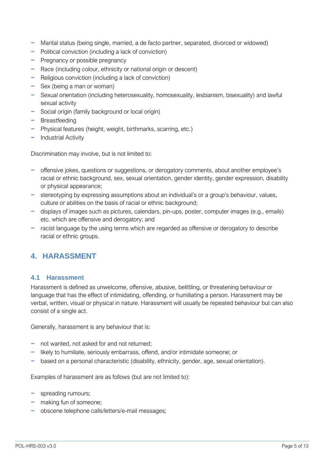- − Marital status (being single, married, a de facto partner, separated, divorced or widowed)
- − Political conviction (including a lack of conviction)
- − Pregnancy or possible pregnancy
- − Race (including colour, ethnicity or national origin or descent)
- − Religious conviction (including a lack of conviction)
- − Sex (being a man or woman)
- − Sexual orientation (including heterosexuality, homosexuality, lesbianism, bisexuality) and lawful sexual activity
- − Social origin (family background or local origin)
- − Breastfeeding
- − Physical features (height, weight, birthmarks, scarring, etc.)
- − Industrial Activity

Discrimination may involve, but is not limited to:

- − offensive jokes, questions or suggestions, or derogatory comments, about another employee's racial or ethnic background, sex, sexual orientation, gender identity, gender expression, disability or physical appearance;
- − stereotyping by expressing assumptions about an individual's or a group's behaviour, values, culture or abilities on the basis of racial or ethnic background;
- − displays of images such as pictures, calendars, pin-ups, poster, computer images (e.g., emails) etc. which are offensive and derogatory; and
- − racist language by the using terms which are regarded as offensive or derogatory to describe racial or ethnic groups.

## <span id="page-4-0"></span>**4. HARASSMENT**

#### <span id="page-4-1"></span>**4.1 Harassment**

Harassment is defined as unwelcome, offensive, abusive, belittling, or threatening behaviour or language that has the effect of intimidating, offending, or humiliating a person. Harassment may be verbal, written, visual or physical in nature. Harassment will usually be repeated behaviour but can also consist of a single act.

Generally, harassment is any behaviour that is:

- − not wanted, not asked for and not returned;
- − likely to humiliate, seriously embarrass, offend, and/or intimidate someone; or
- − based on a personal characteristic (disability, ethnicity, gender, age, sexual orientation).

Examples of harassment are as follows (but are not limited to):

- − spreading rumours;
- − making fun of someone;
- − obscene telephone calls/letters/e-mail messages;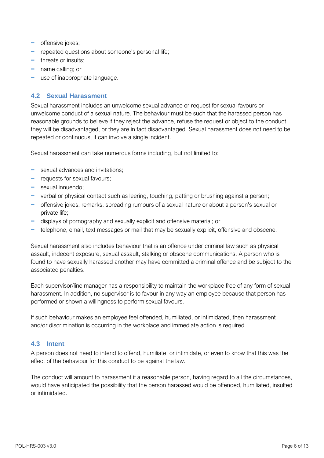- − offensive jokes;
- − repeated questions about someone's personal life;
- − threats or insults;
- − name calling; or
- − use of inappropriate language.

#### <span id="page-5-0"></span>**4.2 Sexual Harassment**

Sexual harassment includes an unwelcome sexual advance or request for sexual favours or unwelcome conduct of a sexual nature. The behaviour must be such that the harassed person has reasonable grounds to believe if they reject the advance, refuse the request or object to the conduct they will be disadvantaged, or they are in fact disadvantaged. Sexual harassment does not need to be repeated or continuous, it can involve a single incident.

Sexual harassment can take numerous forms including, but not limited to:

- − sexual advances and invitations;
- − requests for sexual favours;
- − sexual innuendo;
- − verbal or physical contact such as leering, touching, patting or brushing against a person;
- − offensive jokes, remarks, spreading rumours of a sexual nature or about a person's sexual or private life;
- − displays of pornography and sexually explicit and offensive material; or
- − telephone, email, text messages or mail that may be sexually explicit, offensive and obscene.

Sexual harassment also includes behaviour that is an offence under criminal law such as physical assault, indecent exposure, sexual assault, stalking or obscene communications. A person who is found to have sexually harassed another may have committed a criminal offence and be subject to the associated penalties.

Each supervisor/line manager has a responsibility to maintain the workplace free of any form of sexual harassment. In addition, no supervisor is to favour in any way an employee because that person has performed or shown a willingness to perform sexual favours.

If such behaviour makes an employee feel offended, humiliated, or intimidated, then harassment and/or discrimination is occurring in the workplace and immediate action is required.

#### <span id="page-5-1"></span>**4.3 Intent**

A person does not need to intend to offend, humiliate, or intimidate, or even to know that this was the effect of the behaviour for this conduct to be against the law.

The conduct will amount to harassment if a reasonable person, having regard to all the circumstances, would have anticipated the possibility that the person harassed would be offended, humiliated, insulted or intimidated.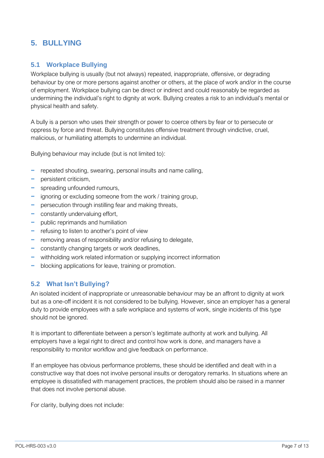## <span id="page-6-0"></span>**5. BULLYING**

#### <span id="page-6-1"></span>**5.1 Workplace Bullying**

Workplace bullying is usually (but not always) repeated, inappropriate, offensive, or degrading behaviour by one or more persons against another or others, at the place of work and/or in the course of employment. Workplace bullying can be direct or indirect and could reasonably be regarded as undermining the individual's right to dignity at work. Bullying creates a risk to an individual's mental or physical health and safety.

A bully is a person who uses their strength or power to coerce others by fear or to persecute or oppress by force and threat. Bullying constitutes offensive treatment through vindictive, cruel, malicious, or humiliating attempts to undermine an individual.

Bullying behaviour may include (but is not limited to):

- − repeated shouting, swearing, personal insults and name calling,
- − persistent criticism,
- − spreading unfounded rumours,
- − ignoring or excluding someone from the work / training group,
- − persecution through instilling fear and making threats,
- − constantly undervaluing effort,
- − public reprimands and humiliation
- − refusing to listen to another's point of view
- − removing areas of responsibility and/or refusing to delegate,
- − constantly changing targets or work deadlines,
- − withholding work related information or supplying incorrect information
- − blocking applications for leave, training or promotion.

#### <span id="page-6-2"></span>**5.2 What Isn't Bullying?**

An isolated incident of inappropriate or unreasonable behaviour may be an affront to dignity at work but as a one-off incident it is not considered to be bullying. However, since an employer has a general duty to provide employees with a safe workplace and systems of work, single incidents of this type should not be ignored.

It is important to differentiate between a person's legitimate authority at work and bullying. All employers have a legal right to direct and control how work is done, and managers have a responsibility to monitor workflow and give feedback on performance.

If an employee has obvious performance problems, these should be identified and dealt with in a constructive way that does not involve personal insults or derogatory remarks. In situations where an employee is dissatisfied with management practices, the problem should also be raised in a manner that does not involve personal abuse.

For clarity, bullying does not include: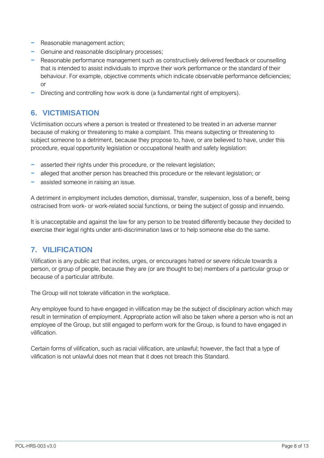- − Reasonable management action;
- − Genuine and reasonable disciplinary processes;
- − Reasonable performance management such as constructively delivered feedback or counselling that is intended to assist individuals to improve their work performance or the standard of their behaviour. For example, objective comments which indicate observable performance deficiencies; or
- − Directing and controlling how work is done (a fundamental right of employers).

## <span id="page-7-0"></span>**6. VICTIMISATION**

Victimisation occurs where a person is treated or threatened to be treated in an adverse manner because of making or threatening to make a complaint. This means subjecting or threatening to subject someone to a detriment, because they propose to, have, or are believed to have, under this procedure, equal opportunity legislation or occupational health and safety legislation:

- asserted their rights under this procedure, or the relevant legislation;
- − alleged that another person has breached this procedure or the relevant legislation; or
- − assisted someone in raising an issue.

A detriment in employment includes demotion, dismissal, transfer, suspension, loss of a benefit, being ostracised from work- or work-related social functions, or being the subject of gossip and innuendo.

It is unacceptable and against the law for any person to be treated differently because they decided to exercise their legal rights under anti-discrimination laws or to help someone else do the same.

## <span id="page-7-1"></span>**7. VILIFICATION**

Vilification is any public act that incites, urges, or encourages hatred or severe ridicule towards a person, or group of people, because they are (or are thought to be) members of a particular group or because of a particular attribute.

The Group will not tolerate vilification in the workplace.

Any employee found to have engaged in vilification may be the subject of disciplinary action which may result in termination of employment. Appropriate action will also be taken where a person who is not an employee of the Group, but still engaged to perform work for the Group, is found to have engaged in vilification.

Certain forms of vilification, such as racial vilification, are unlawful; however, the fact that a type of vilification is not unlawful does not mean that it does not breach this Standard.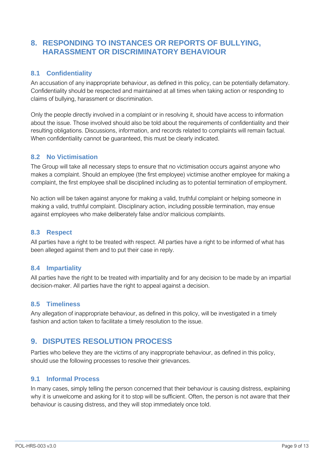## <span id="page-8-0"></span>**8. RESPONDING TO INSTANCES OR REPORTS OF BULLYING, HARASSMENT OR DISCRIMINATORY BEHAVIOUR**

#### <span id="page-8-1"></span>**8.1 Confidentiality**

An accusation of any inappropriate behaviour, as defined in this policy, can be potentially defamatory. Confidentiality should be respected and maintained at all times when taking action or responding to claims of bullying, harassment or discrimination.

Only the people directly involved in a complaint or in resolving it, should have access to information about the issue. Those involved should also be told about the requirements of confidentiality and their resulting obligations. Discussions, information, and records related to complaints will remain factual. When confidentiality cannot be guaranteed, this must be clearly indicated.

#### <span id="page-8-2"></span>**8.2 No Victimisation**

The Group will take all necessary steps to ensure that no victimisation occurs against anyone who makes a complaint. Should an employee (the first employee) victimise another employee for making a complaint, the first employee shall be disciplined including as to potential termination of employment.

No action will be taken against anyone for making a valid, truthful complaint or helping someone in making a valid, truthful complaint. Disciplinary action, including possible termination, may ensue against employees who make deliberately false and/or malicious complaints.

#### <span id="page-8-3"></span>**8.3 Respect**

All parties have a right to be treated with respect. All parties have a right to be informed of what has been alleged against them and to put their case in reply.

#### <span id="page-8-4"></span>**8.4 Impartiality**

All parties have the right to be treated with impartiality and for any decision to be made by an impartial decision-maker. All parties have the right to appeal against a decision.

#### <span id="page-8-5"></span>**8.5 Timeliness**

Any allegation of inappropriate behaviour, as defined in this policy, will be investigated in a timely fashion and action taken to facilitate a timely resolution to the issue.

## <span id="page-8-6"></span>**9. DISPUTES RESOLUTION PROCESS**

Parties who believe they are the victims of any inappropriate behaviour, as defined in this policy, should use the following processes to resolve their grievances.

#### <span id="page-8-7"></span>**9.1 Informal Process**

In many cases, simply telling the person concerned that their behaviour is causing distress, explaining why it is unwelcome and asking for it to stop will be sufficient. Often, the person is not aware that their behaviour is causing distress, and they will stop immediately once told.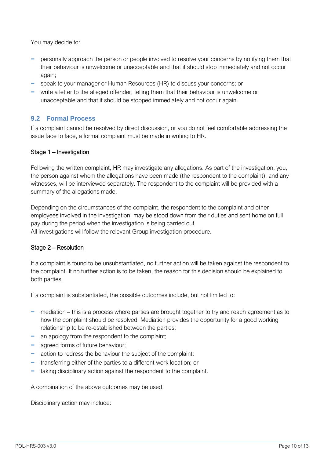You may decide to:

- personally approach the person or people involved to resolve your concerns by notifying them that their behaviour is unwelcome or unacceptable and that it should stop immediately and not occur again;
- − speak to your manager or Human Resources (HR) to discuss your concerns; or
- − write a letter to the alleged offender, telling them that their behaviour is unwelcome or unacceptable and that it should be stopped immediately and not occur again.

#### <span id="page-9-0"></span>**9.2 Formal Process**

If a complaint cannot be resolved by direct discussion, or you do not feel comfortable addressing the issue face to face, a formal complaint must be made in writing to HR.

#### Stage 1 – Investigation

Following the written complaint, HR may investigate any allegations. As part of the investigation, you, the person against whom the allegations have been made (the respondent to the complaint), and any witnesses, will be interviewed separately. The respondent to the complaint will be provided with a summary of the allegations made.

Depending on the circumstances of the complaint, the respondent to the complaint and other employees involved in the investigation, may be stood down from their duties and sent home on full pay during the period when the investigation is being carried out. All investigations will follow the relevant Group investigation procedure.

#### Stage 2 – Resolution

If a complaint is found to be unsubstantiated, no further action will be taken against the respondent to the complaint. If no further action is to be taken, the reason for this decision should be explained to both parties.

If a complaint is substantiated, the possible outcomes include, but not limited to:

- − mediation this is a process where parties are brought together to try and reach agreement as to how the complaint should be resolved. Mediation provides the opportunity for a good working relationship to be re-established between the parties;
- − an apology from the respondent to the complaint;
- − agreed forms of future behaviour;
- − action to redress the behaviour the subject of the complaint;
- − transferring either of the parties to a different work location; or
- − taking disciplinary action against the respondent to the complaint.

A combination of the above outcomes may be used.

Disciplinary action may include: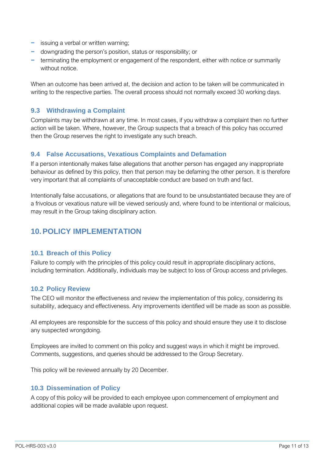- − issuing a verbal or written warning;
- − downgrading the person's position, status or responsibility; or
- − terminating the employment or engagement of the respondent, either with notice or summarily without notice.

When an outcome has been arrived at, the decision and action to be taken will be communicated in writing to the respective parties. The overall process should not normally exceed 30 working days.

#### <span id="page-10-0"></span>**9.3 Withdrawing a Complaint**

Complaints may be withdrawn at any time. In most cases, if you withdraw a complaint then no further action will be taken. Where, however, the Group suspects that a breach of this policy has occurred then the Group reserves the right to investigate any such breach.

#### <span id="page-10-1"></span>**9.4 False Accusations, Vexatious Complaints and Defamation**

If a person intentionally makes false allegations that another person has engaged any inappropriate behaviour as defined by this policy, then that person may be defaming the other person. It is therefore very important that all complaints of unacceptable conduct are based on truth and fact.

Intentionally false accusations, or allegations that are found to be unsubstantiated because they are of a frivolous or vexatious nature will be viewed seriously and, where found to be intentional or malicious, may result in the Group taking disciplinary action.

## <span id="page-10-2"></span>**10.POLICY IMPLEMENTATION**

#### <span id="page-10-3"></span>**10.1 Breach of this Policy**

Failure to comply with the principles of this policy could result in appropriate disciplinary actions, including termination. Additionally, individuals may be subject to loss of Group access and privileges.

#### <span id="page-10-4"></span>**10.2 Policy Review**

The CEO will monitor the effectiveness and review the implementation of this policy, considering its suitability, adequacy and effectiveness. Any improvements identified will be made as soon as possible.

All employees are responsible for the success of this policy and should ensure they use it to disclose any suspected wrongdoing.

Employees are invited to comment on this policy and suggest ways in which it might be improved. Comments, suggestions, and queries should be addressed to the Group Secretary.

This policy will be reviewed annually by 20 December.

#### <span id="page-10-5"></span>**10.3 Dissemination of Policy**

A copy of this policy will be provided to each employee upon commencement of employment and additional copies will be made available upon request.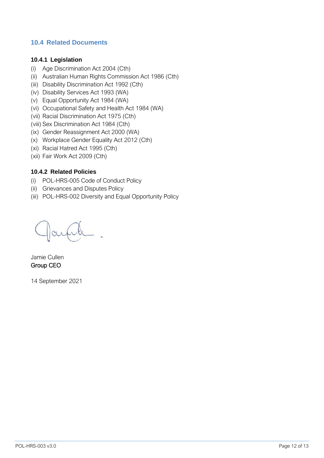#### <span id="page-11-0"></span>**10.4 Related Documents**

#### <span id="page-11-1"></span>**10.4.1 Legislation**

- (i) Age Discrimination Act 2004 (Cth)
- (ii) Australian Human Rights Commission Act 1986 (Cth)
- (iii) Disability Discrimination Act 1992 (Cth)
- (iv) Disability Services Act 1993 (WA)
- (v) Equal Opportunity Act 1984 (WA)
- (vi) Occupational Safety and Health Act 1984 (WA)
- (vii) Racial Discrimination Act 1975 (Cth)
- (viii) Sex Discrimination Act 1984 (Cth)
- (ix) Gender Reassignment Act 2000 (WA)
- (x) Workplace Gender Equality Act 2012 (Cth)
- (xi) Racial Hatred Act 1995 (Cth)
- (xii) Fair Work Act 2009 (Cth)

#### <span id="page-11-2"></span>**10.4.2 Related Policies**

- (i) POL-HRS-005 Code of Conduct Policy
- (ii) Grievances and Disputes Policy
- (iii) POL-HRS-002 Diversity and Equal Opportunity Policy

Jamie Cullen Group CEO

14 September 2021